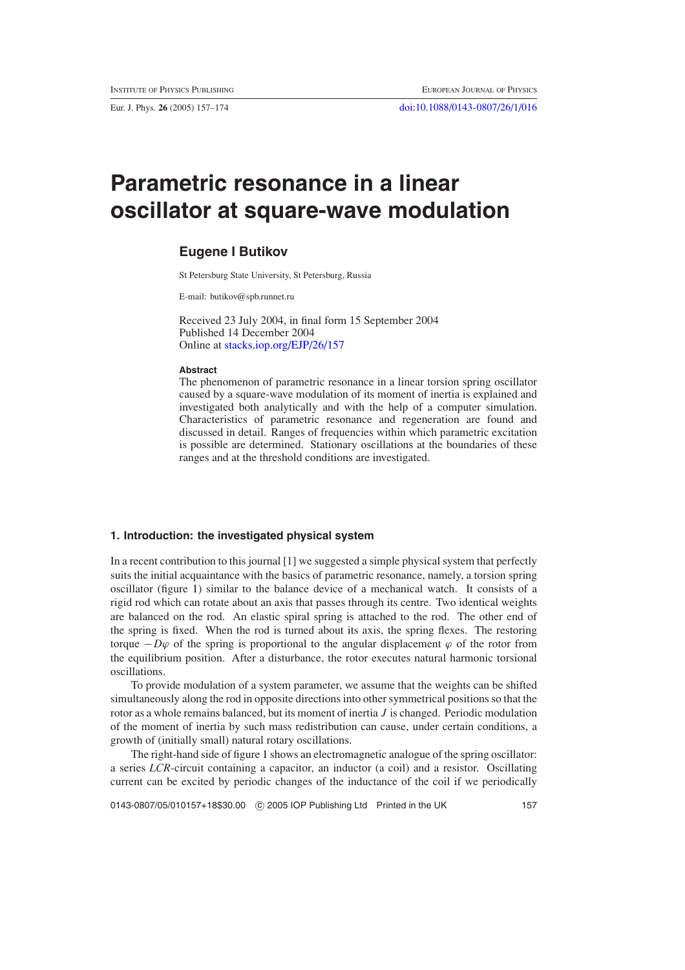Eur. J. Phys. **26** (2005) 157–174 [doi:10.1088/0143-0807/26/1/016](http://dx.doi.org/10.1088/0143-0807/26/1/016)

# **Parametric resonance in a linear oscillator at square-wave modulation**

# **Eugene I Butikov**

St Petersburg State University, St Petersburg, Russia

E-mail: butikov@spb.runnet.ru

Received 23 July 2004, in final form 15 September 2004 Published 14 December 2004 Online at [stacks.iop.org/EJP/26/157](http://stacks.iop.org/ej/26/157)

## **Abstract**

The phenomenon of parametric resonance in a linear torsion spring oscillator caused by a square-wave modulation of its moment of inertia is explained and investigated both analytically and with the help of a computer simulation. Characteristics of parametric resonance and regeneration are found and discussed in detail. Ranges of frequencies within which parametric excitation is possible are determined. Stationary oscillations at the boundaries of these ranges and at the threshold conditions are investigated.

# **1. Introduction: the investigated physical system**

In a recent contribution to this journal [1] we suggested a simple physical system that perfectly suits the initial acquaintance with the basics of parametric resonance, namely, a torsion spring oscillator (figure [1\)](#page-1-0) similar to the balance device of a mechanical watch. It consists of a rigid rod which can rotate about an axis that passes through its centre. Two identical weights are balanced on the rod. An elastic spiral spring is attached to the rod. The other end of the spring is fixed. When the rod is turned about its axis, the spring flexes. The restoring torque  $-D\varphi$  of the spring is proportional to the angular displacement  $\varphi$  of the rotor from the equilibrium position. After a disturbance, the rotor executes natural harmonic torsional oscillations.

To provide modulation of a system parameter, we assume that the weights can be shifted simultaneously along the rod in opposite directions into other symmetrical positions so that the rotor as a whole remains balanced, but its moment of inertia *J* is changed. Periodic modulation of the moment of inertia by such mass redistribution can cause, under certain conditions, a growth of (initially small) natural rotary oscillations.

The right-hand side of figure [1](#page-1-0) shows an electromagnetic analogue of the spring oscillator: a series *LCR*-circuit containing a capacitor, an inductor (a coil) and a resistor. Oscillating current can be excited by periodic changes of the inductance of the coil if we periodically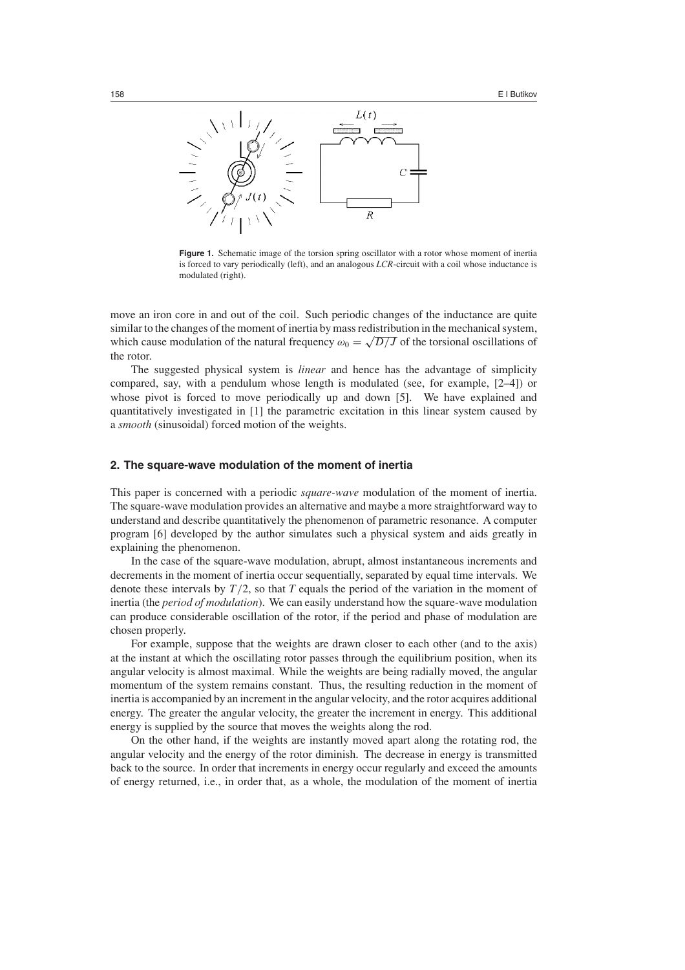

<span id="page-1-0"></span>**Figure 1.** Schematic image of the torsion spring oscillator with a rotor whose moment of inertia is forced to vary periodically (left), and an analogous *LCR*-circuit with a coil whose inductance is modulated (right).

move an iron core in and out of the coil. Such periodic changes of the inductance are quite similar to the changes of the moment of inertia by mass redistribution in the mechanical system, which cause modulation of the natural frequency  $\omega_0 = \sqrt{D/J}$  of the torsional oscillations of the rotor.

The suggested physical system is *linear* and hence has the advantage of simplicity compared, say, with a pendulum whose length is modulated (see, for example, [2–4]) or whose pivot is forced to move periodically up and down [5]. We have explained and quantitatively investigated in [1] the parametric excitation in this linear system caused by a *smooth* (sinusoidal) forced motion of the weights.

#### **2. The square-wave modulation of the moment of inertia**

This paper is concerned with a periodic *square-wave* modulation of the moment of inertia. The square-wave modulation provides an alternative and maybe a more straightforward way to understand and describe quantitatively the phenomenon of parametric resonance. A computer program [6] developed by the author simulates such a physical system and aids greatly in explaining the phenomenon.

In the case of the square-wave modulation, abrupt, almost instantaneous increments and decrements in the moment of inertia occur sequentially, separated by equal time intervals. We denote these intervals by *T /*2, so that *T* equals the period of the variation in the moment of inertia (the *period of modulation*). We can easily understand how the square-wave modulation can produce considerable oscillation of the rotor, if the period and phase of modulation are chosen properly.

For example, suppose that the weights are drawn closer to each other (and to the axis) at the instant at which the oscillating rotor passes through the equilibrium position, when its angular velocity is almost maximal. While the weights are being radially moved, the angular momentum of the system remains constant. Thus, the resulting reduction in the moment of inertia is accompanied by an increment in the angular velocity, and the rotor acquires additional energy. The greater the angular velocity, the greater the increment in energy. This additional energy is supplied by the source that moves the weights along the rod.

On the other hand, if the weights are instantly moved apart along the rotating rod, the angular velocity and the energy of the rotor diminish. The decrease in energy is transmitted back to the source. In order that increments in energy occur regularly and exceed the amounts of energy returned, i.e., in order that, as a whole, the modulation of the moment of inertia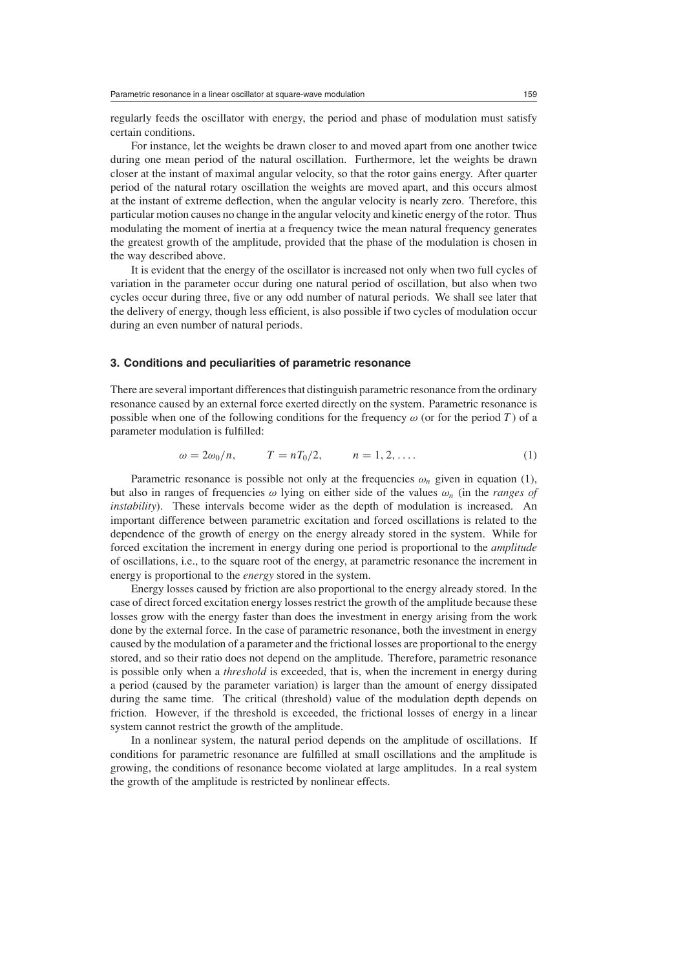regularly feeds the oscillator with energy, the period and phase of modulation must satisfy certain conditions.

For instance, let the weights be drawn closer to and moved apart from one another twice during one mean period of the natural oscillation. Furthermore, let the weights be drawn closer at the instant of maximal angular velocity, so that the rotor gains energy. After quarter period of the natural rotary oscillation the weights are moved apart, and this occurs almost at the instant of extreme deflection, when the angular velocity is nearly zero. Therefore, this particular motion causes no change in the angular velocity and kinetic energy of the rotor. Thus modulating the moment of inertia at a frequency twice the mean natural frequency generates the greatest growth of the amplitude, provided that the phase of the modulation is chosen in the way described above.

It is evident that the energy of the oscillator is increased not only when two full cycles of variation in the parameter occur during one natural period of oscillation, but also when two cycles occur during three, five or any odd number of natural periods. We shall see later that the delivery of energy, though less efficient, is also possible if two cycles of modulation occur during an even number of natural periods.

# **3. Conditions and peculiarities of parametric resonance**

There are several important differences that distinguish parametric resonance from the ordinary resonance caused by an external force exerted directly on the system. Parametric resonance is possible when one of the following conditions for the frequency  $\omega$  (or for the period *T*) of a parameter modulation is fulfilled:

$$
\omega = 2\omega_0/n,
$$
\n $T = nT_0/2,$ \n $n = 1, 2, ....$ \n(1)

<span id="page-2-0"></span>Parametric resonance is possible not only at the frequencies  $\omega_n$  given in equation [\(1\)](#page-2-0), but also in ranges of frequencies *ω* lying on either side of the values *ωn* (in the *ranges of instability*). These intervals become wider as the depth of modulation is increased. An important difference between parametric excitation and forced oscillations is related to the dependence of the growth of energy on the energy already stored in the system. While for forced excitation the increment in energy during one period is proportional to the *amplitude* of oscillations, i.e., to the square root of the energy, at parametric resonance the increment in energy is proportional to the *energy* stored in the system.

Energy losses caused by friction are also proportional to the energy already stored. In the case of direct forced excitation energy losses restrict the growth of the amplitude because these losses grow with the energy faster than does the investment in energy arising from the work done by the external force. In the case of parametric resonance, both the investment in energy caused by the modulation of a parameter and the frictional losses are proportional to the energy stored, and so their ratio does not depend on the amplitude. Therefore, parametric resonance is possible only when a *threshold* is exceeded, that is, when the increment in energy during a period (caused by the parameter variation) is larger than the amount of energy dissipated during the same time. The critical (threshold) value of the modulation depth depends on friction. However, if the threshold is exceeded, the frictional losses of energy in a linear system cannot restrict the growth of the amplitude.

In a nonlinear system, the natural period depends on the amplitude of oscillations. If conditions for parametric resonance are fulfilled at small oscillations and the amplitude is growing, the conditions of resonance become violated at large amplitudes. In a real system the growth of the amplitude is restricted by nonlinear effects.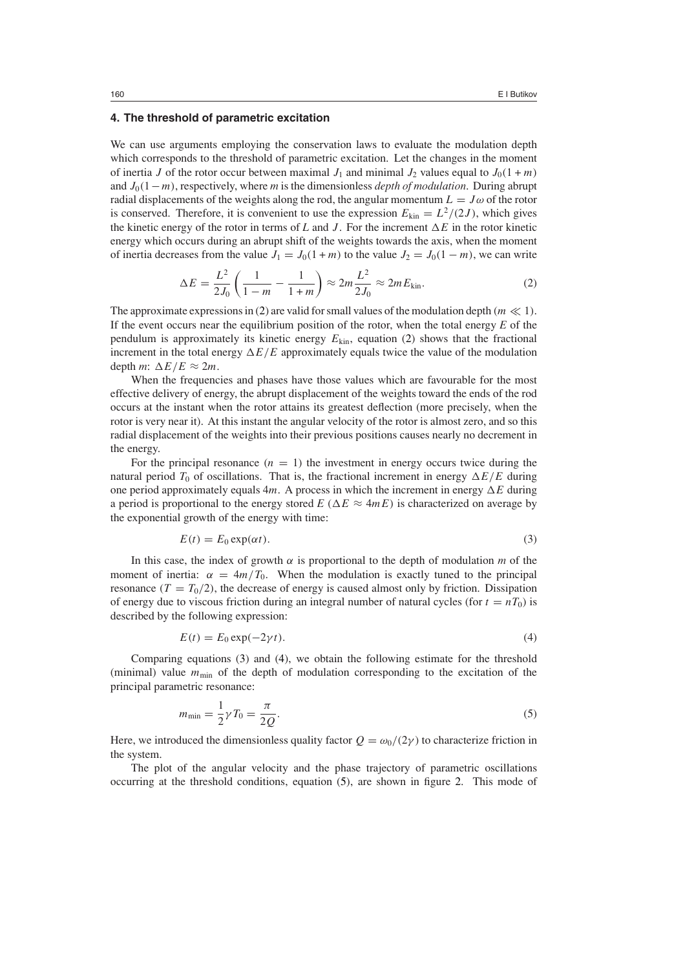#### **4. The threshold of parametric excitation**

We can use arguments employing the conservation laws to evaluate the modulation depth which corresponds to the threshold of parametric excitation. Let the changes in the moment of inertia *J* of the rotor occur between maximal  $J_1$  and minimal  $J_2$  values equal to  $J_0(1 + m)$ and *J*0*(*1−*m)*, respectively, where *m* is the dimensionless *depth of modulation*. During abrupt radial displacements of the weights along the rod, the angular momentum  $L = J\omega$  of the rotor is conserved. Therefore, it is convenient to use the expression  $E_{kin} = L^2/(2J)$ , which gives the kinetic energy of the rotor in terms of  $L$  and  $J$ . For the increment  $\Delta E$  in the rotor kinetic energy which occurs during an abrupt shift of the weights towards the axis, when the moment of inertia decreases from the value  $J_1 = J_0(1 + m)$  to the value  $J_2 = J_0(1 - m)$ , we can write

$$
\Delta E = \frac{L^2}{2J_0} \left( \frac{1}{1 - m} - \frac{1}{1 + m} \right) \approx 2m \frac{L^2}{2J_0} \approx 2m E_{\text{kin}}.
$$
 (2)

<span id="page-3-0"></span>The approximate expressions in [\(2\)](#page-3-0) are valid for small values of the modulation depth  $(m \ll 1)$ . If the event occurs near the equilibrium position of the rotor, when the total energy *E* of the pendulum is approximately its kinetic energy  $E_{kin}$ , equation [\(2\)](#page-3-0) shows that the fractional increment in the total energy  $\Delta E/E$  approximately equals twice the value of the modulation depth *m*:  $\Delta E/E \approx 2m$ .

When the frequencies and phases have those values which are favourable for the most effective delivery of energy, the abrupt displacement of the weights toward the ends of the rod occurs at the instant when the rotor attains its greatest deflection (more precisely, when the rotor is very near it). At this instant the angular velocity of the rotor is almost zero, and so this radial displacement of the weights into their previous positions causes nearly no decrement in the energy.

For the principal resonance  $(n = 1)$  the investment in energy occurs twice during the natural period  $T_0$  of oscillations. That is, the fractional increment in energy  $\Delta E/E$  during one period approximately equals 4*m*. A process in which the increment in energy  $\Delta E$  during a period is proportional to the energy stored *E* ( $\Delta E \approx 4mE$ ) is characterized on average by the exponential growth of the energy with time:

$$
E(t) = E_0 \exp(\alpha t). \tag{3}
$$

<span id="page-3-1"></span>In this case, the index of growth  $\alpha$  is proportional to the depth of modulation  $m$  of the moment of inertia:  $\alpha = 4m/T_0$ . When the modulation is exactly tuned to the principal resonance  $(T = T_0/2)$ , the decrease of energy is caused almost only by friction. Dissipation of energy due to viscous friction during an integral number of natural cycles (for  $t = nT_0$ ) is described by the following expression:

$$
E(t) = E_0 \exp(-2\gamma t). \tag{4}
$$

<span id="page-3-3"></span><span id="page-3-2"></span>Comparing equations [\(3\)](#page-3-1) and [\(4\)](#page-3-2), we obtain the following estimate for the threshold (minimal) value  $m_{\text{min}}$  of the depth of modulation corresponding to the excitation of the principal parametric resonance:

$$
m_{\min} = \frac{1}{2}\gamma T_0 = \frac{\pi}{2Q}.\tag{5}
$$

Here, we introduced the dimensionless quality factor  $Q = \omega_0/(2\gamma)$  to characterize friction in the system.

The plot of the angular velocity and the phase trajectory of parametric oscillations occurring at the threshold conditions, equation [\(5\)](#page-3-3), are shown in figure [2.](#page-4-0) This mode of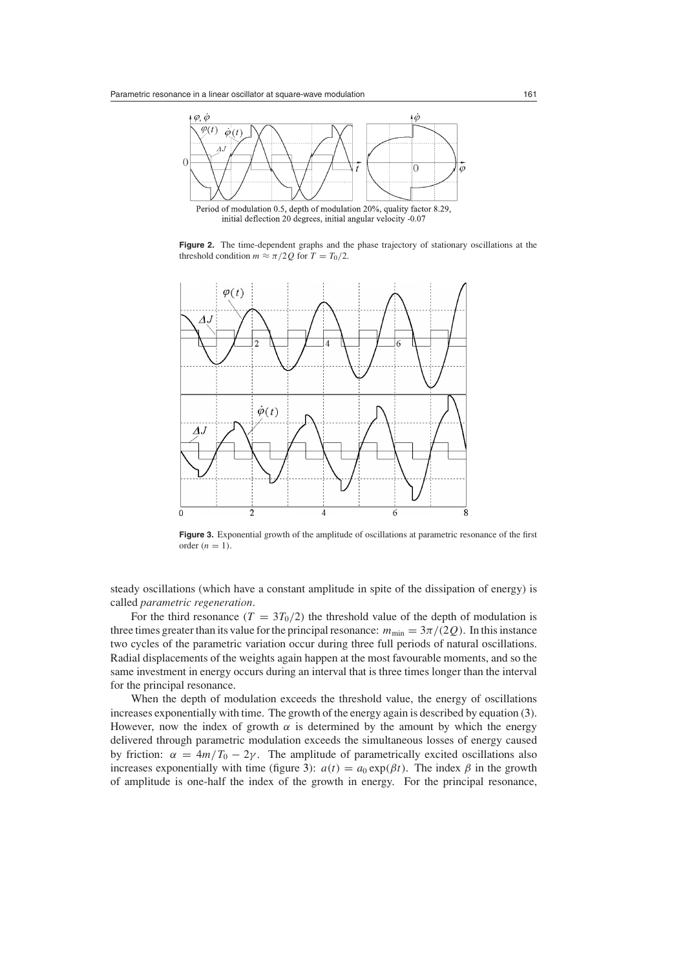

Period of modulation 0.5, depth of modulation 20%, quality factor 8.29, initial deflection 20 degrees, initial angular velocity -0.07

Figure 2. The time-dependent graphs and the phase trajectory of stationary oscillations at the threshold condition  $m \approx \pi/2Q$  for  $T = T_0/2$ .

<span id="page-4-0"></span>

<span id="page-4-1"></span>Figure 3. Exponential growth of the amplitude of oscillations at parametric resonance of the first order  $(n = 1)$ .

steady oscillations (which have a constant amplitude in spite of the dissipation of energy) is called *parametric regeneration*.

For the third resonance  $(T = 3T_0/2)$  the threshold value of the depth of modulation is three times greater than its value for the principal resonance:  $m_{\text{min}} = 3\pi/(2Q)$ . In this instance two cycles of the parametric variation occur during three full periods of natural oscillations. Radial displacements of the weights again happen at the most favourable moments, and so the same investment in energy occurs during an interval that is three times longer than the interval for the principal resonance.

When the depth of modulation exceeds the threshold value, the energy of oscillations increases exponentially with time. The growth of the energy again is described by equation [\(3\)](#page-3-1). However, now the index of growth  $\alpha$  is determined by the amount by which the energy delivered through parametric modulation exceeds the simultaneous losses of energy caused by friction:  $\alpha = 4m/T_0 - 2\gamma$ . The amplitude of parametrically excited oscillations also increases exponentially with time (figure [3\)](#page-4-1):  $a(t) = a_0 \exp(\beta t)$ . The index  $\beta$  in the growth of amplitude is one-half the index of the growth in energy. For the principal resonance,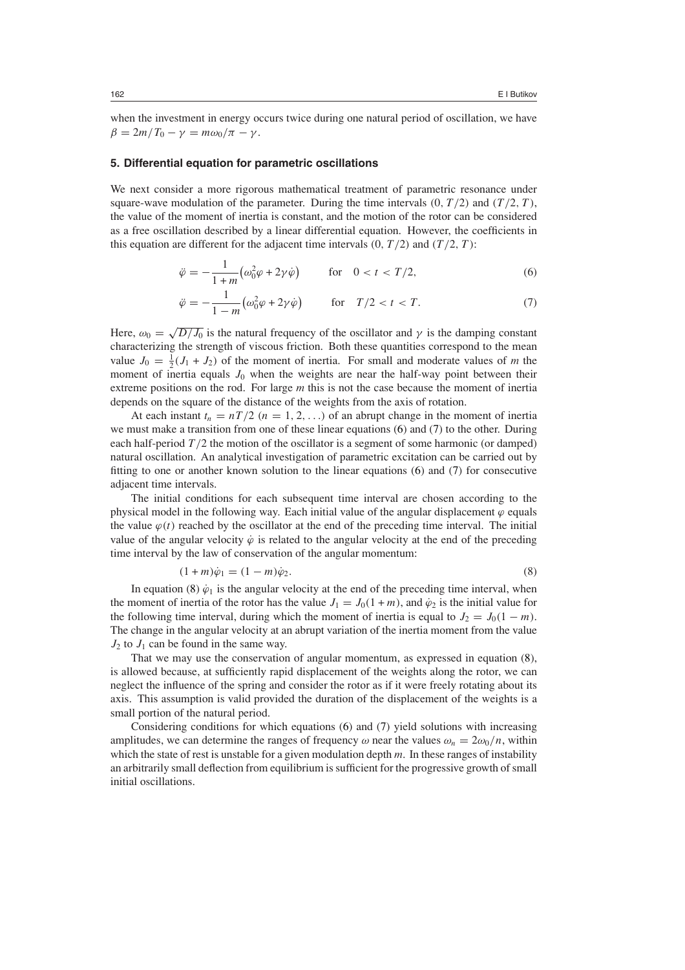when the investment in energy occurs twice during one natural period of oscillation, we have  $β = 2m/T_0 - γ = mω_0/π - γ$ .

# **5. Differential equation for parametric oscillations**

<span id="page-5-0"></span>We next consider a more rigorous mathematical treatment of parametric resonance under square-wave modulation of the parameter. During the time intervals  $(0, T/2)$  and  $(T/2, T)$ , the value of the moment of inertia is constant, and the motion of the rotor can be considered as a free oscillation described by a linear differential equation. However, the coefficients in this equation are different for the adjacent time intervals  $(0, T/2)$  and  $(T/2, T)$ :

$$
\ddot{\varphi} = -\frac{1}{1+m} \big( \omega_0^2 \varphi + 2\gamma \dot{\varphi} \big) \qquad \text{for} \quad 0 < t < T/2,\tag{6}
$$

$$
\ddot{\varphi} = -\frac{1}{1 - m} \big( \omega_0^2 \varphi + 2\gamma \dot{\varphi} \big) \qquad \text{for} \quad T/2 < t < T. \tag{7}
$$

<span id="page-5-1"></span>Here,  $\omega_0 = \sqrt{D/J_0}$  is the natural frequency of the oscillator and  $\gamma$  is the damping constant characterizing the strength of viscous friction. Both these quantities correspond to the mean value  $J_0 = \frac{1}{2}(J_1 + J_2)$  of the moment of inertia. For small and moderate values of *m* the moment of inertia equals  $J_0$  when the weights are near the half-way point between their extreme positions on the rod. For large *m* this is not the case because the moment of inertia depends on the square of the distance of the weights from the axis of rotation.

At each instant  $t_n = nT/2$   $(n = 1, 2, ...)$  of an abrupt change in the moment of inertia we must make a transition from one of these linear equations [\(6\)](#page-5-0) and [\(7\)](#page-5-1) to the other. During each half-period *T*/2 the motion of the oscillator is a segment of some harmonic (or damped) natural oscillation. An analytical investigation of parametric excitation can be carried out by fitting to one or another known solution to the linear equations [\(6\)](#page-5-0) and [\(7\)](#page-5-1) for consecutive adjacent time intervals.

The initial conditions for each subsequent time interval are chosen according to the physical model in the following way. Each initial value of the angular displacement  $\varphi$  equals the value  $\varphi(t)$  reached by the oscillator at the end of the preceding time interval. The initial value of the angular velocity  $\dot{\varphi}$  is related to the angular velocity at the end of the preceding time interval by the law of conservation of the angular momentum:

$$
(1+m)\dot{\varphi}_1 = (1-m)\dot{\varphi}_2. \tag{8}
$$

<span id="page-5-2"></span>In equation [\(8\)](#page-5-2)  $\dot{\varphi}_1$  is the angular velocity at the end of the preceding time interval, when the moment of inertia of the rotor has the value  $J_1 = J_0(1 + m)$ , and  $\dot{\varphi}_2$  is the initial value for the following time interval, during which the moment of inertia is equal to  $J_2 = J_0(1 - m)$ . The change in the angular velocity at an abrupt variation of the inertia moment from the value  $J_2$  to  $J_1$  can be found in the same way.

That we may use the conservation of angular momentum, as expressed in equation [\(8\)](#page-5-2), is allowed because, at sufficiently rapid displacement of the weights along the rotor, we can neglect the influence of the spring and consider the rotor as if it were freely rotating about its axis. This assumption is valid provided the duration of the displacement of the weights is a small portion of the natural period.

Considering conditions for which equations [\(6\)](#page-5-0) and [\(7\)](#page-5-1) yield solutions with increasing amplitudes, we can determine the ranges of frequency  $\omega$  near the values  $\omega_n = 2\omega_0/n$ , within which the state of rest is unstable for a given modulation depth  $m$ . In these ranges of instability an arbitrarily small deflection from equilibrium is sufficient for the progressive growth of small initial oscillations.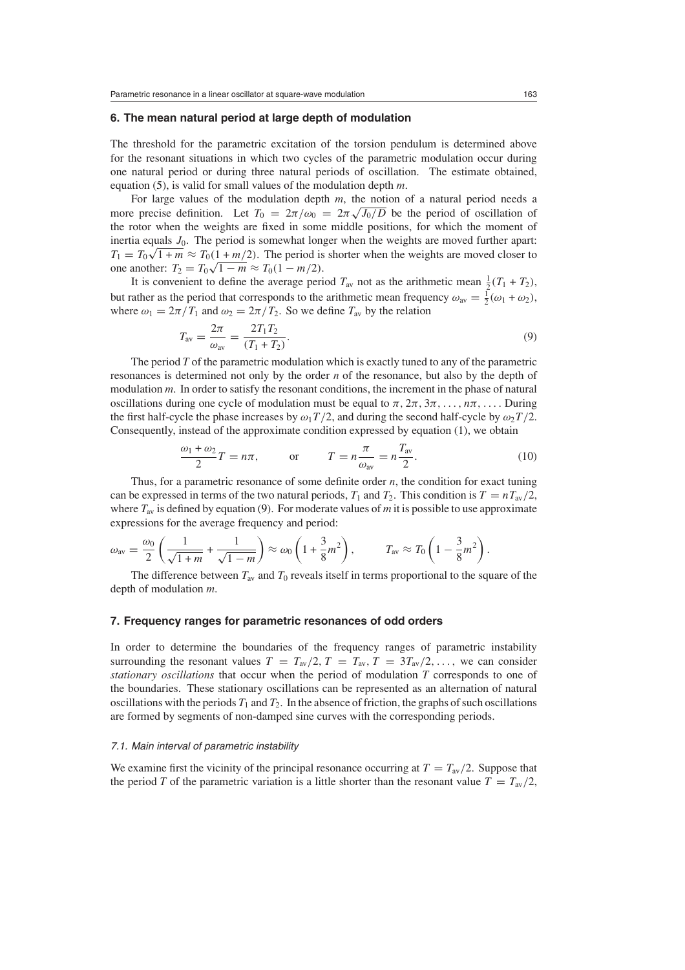# **6. The mean natural period at large depth of modulation**

The threshold for the parametric excitation of the torsion pendulum is determined above for the resonant situations in which two cycles of the parametric modulation occur during one natural period or during three natural periods of oscillation. The estimate obtained, equation [\(5\)](#page-3-3), is valid for small values of the modulation depth *m*.

For large values of the modulation depth *m*, the notion of a natural period needs a more precise definition. Let  $T_0 = 2\pi/\omega_0 = 2\pi\sqrt{J_0/D}$  be the period of oscillation of the rotor when the weights are fixed in some middle positions, for which the moment of inertia equals  $J_0$ . The period is somewhat longer when the weights are moved further apart:  $T_1 = T_0 \sqrt{1 + m} \approx T_0 \left( \frac{1 + m/2}{2} \right)$ . The period is shorter when the weights are moved closer to one another:  $T_2 = T_0 \sqrt{1 - m} \approx T_0 (1 - m/2)$ .

It is convenient to define the average period  $T_{\text{av}}$  not as the arithmetic mean  $\frac{1}{2}(T_1 + T_2)$ , but rather as the period that corresponds to the arithmetic mean frequency  $\omega_{\text{av}} = \frac{1}{2}(\omega_1 + \omega_2)$ , where  $\omega_1 = 2\pi/T_1$  and  $\omega_2 = 2\pi/T_2$ . So we define  $T_{av}$  by the relation

$$
T_{\rm av} = \frac{2\pi}{\omega_{\rm av}} = \frac{2T_1T_2}{(T_1 + T_2)}.
$$
\n(9)

<span id="page-6-0"></span>The period *T* of the parametric modulation which is exactly tuned to any of the parametric resonances is determined not only by the order *n* of the resonance, but also by the depth of modulation *m*. In order to satisfy the resonant conditions, the increment in the phase of natural oscillations during one cycle of modulation must be equal to  $\pi$ ,  $2\pi$ ,  $3\pi$ , ...,  $n\pi$ , .... During the first half-cycle the phase increases by  $\omega_1 T/2$ , and during the second half-cycle by  $\omega_2 T/2$ . Consequently, instead of the approximate condition expressed by equation [\(1\)](#page-2-0), we obtain

$$
\frac{\omega_1 + \omega_2}{2}T = n\pi, \qquad \text{or} \qquad T = n\frac{\pi}{\omega_{\text{av}}} = n\frac{T_{\text{av}}}{2}.
$$
 (10)

<span id="page-6-1"></span>Thus, for a parametric resonance of some definite order *n*, the condition for exact tuning can be expressed in terms of the two natural periods,  $T_1$  and  $T_2$ . This condition is  $T = nT_{av}/2$ , where  $T_{av}$  is defined by equation [\(9\)](#page-6-0). For moderate values of *m* it is possible to use approximate expressions for the average frequency and period:

$$
\omega_{\text{av}} = \frac{\omega_0}{2} \left( \frac{1}{\sqrt{1+m}} + \frac{1}{\sqrt{1-m}} \right) \approx \omega_0 \left( 1 + \frac{3}{8} m^2 \right), \qquad T_{\text{av}} \approx T_0 \left( 1 - \frac{3}{8} m^2 \right).
$$

The difference between  $T_{av}$  and  $T_0$  reveals itself in terms proportional to the square of the depth of modulation *m*.

# **7. Frequency ranges for parametric resonances of odd orders**

In order to determine the boundaries of the frequency ranges of parametric instability surrounding the resonant values  $T = T_{av}/2$ ,  $T = T_{av}$ ,  $T = 3T_{av}/2$ , ..., we can consider *stationary oscillations* that occur when the period of modulation *T* corresponds to one of the boundaries. These stationary oscillations can be represented as an alternation of natural oscillations with the periods  $T_1$  and  $T_2$ . In the absence of friction, the graphs of such oscillations are formed by segments of non-damped sine curves with the corresponding periods.

#### 7.1. Main interval of parametric instability

We examine first the vicinity of the principal resonance occurring at  $T = T_{av}/2$ . Suppose that the period *T* of the parametric variation is a little shorter than the resonant value  $T = T_{av}/2$ ,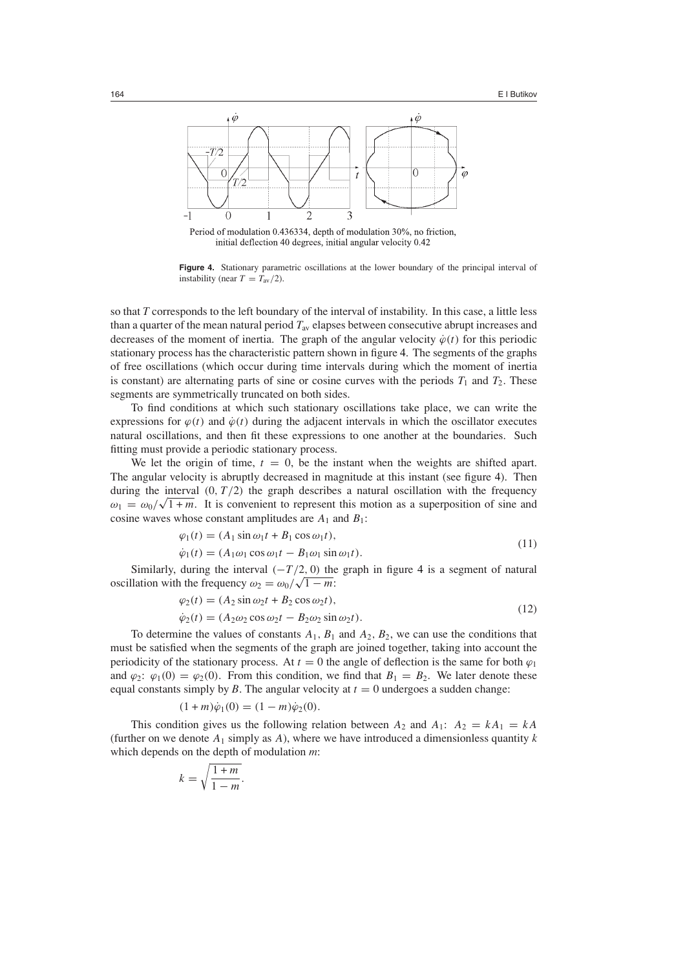

Period of modulation 0.436334, depth of modulation 30%, no friction, initial deflection 40 degrees, initial angular velocity 0.42

<span id="page-7-0"></span>**Figure 4.** Stationary parametric oscillations at the lower boundary of the principal interval of instability (near  $T = T_{\text{av}}/2$ ).

so that *T* corresponds to the left boundary of the interval of instability. In this case, a little less than a quarter of the mean natural period *T*av elapses between consecutive abrupt increases and decreases of the moment of inertia. The graph of the angular velocity  $\dot{\varphi}(t)$  for this periodic stationary process has the characteristic pattern shown in figure [4.](#page-7-0) The segments of the graphs of free oscillations (which occur during time intervals during which the moment of inertia is constant) are alternating parts of sine or cosine curves with the periods  $T_1$  and  $T_2$ . These segments are symmetrically truncated on both sides.

To find conditions at which such stationary oscillations take place, we can write the expressions for  $\varphi(t)$  and  $\dot{\varphi}(t)$  during the adjacent intervals in which the oscillator executes natural oscillations, and then fit these expressions to one another at the boundaries. Such fitting must provide a periodic stationary process.

We let the origin of time,  $t = 0$ , be the instant when the weights are shifted apart. The angular velocity is abruptly decreased in magnitude at this instant (see figure [4\)](#page-7-0). Then during the interval  $(0, T/2)$  the graph describes a natural oscillation with the frequency  $\omega_1 = \omega_0 / \sqrt{1 + m}$ . It is convenient to represent this motion as a superposition of sine and cosine waves whose constant amplitudes are  $A_1$  and  $B_1$ :

$$
\varphi_1(t) = (A_1 \sin \omega_1 t + B_1 \cos \omega_1 t), \n\dot{\varphi}_1(t) = (A_1 \omega_1 \cos \omega_1 t - B_1 \omega_1 \sin \omega_1 t).
$$
\n(11)

<span id="page-7-2"></span>Similarly, during the interval  $(-T/2, 0)$  the graph in figure [4](#page-7-0) is a segment of natural oscillation with the frequency  $\omega_2 = \omega_0 / \sqrt{1 - m}$ :

$$
\varphi_2(t) = (A_2 \sin \omega_2 t + B_2 \cos \omega_2 t), \n\dot{\varphi}_2(t) = (A_2 \omega_2 \cos \omega_2 t - B_2 \omega_2 \sin \omega_2 t).
$$
\n(12)

<span id="page-7-1"></span>To determine the values of constants  $A_1$ ,  $B_1$  and  $A_2$ ,  $B_2$ , we can use the conditions that must be satisfied when the segments of the graph are joined together, taking into account the periodicity of the stationary process. At  $t = 0$  the angle of deflection is the same for both  $\varphi_1$ and  $\varphi_2$ :  $\varphi_1(0) = \varphi_2(0)$ . From this condition, we find that  $B_1 = B_2$ . We later denote these equal constants simply by *B*. The angular velocity at  $t = 0$  undergoes a sudden change:

$$
(1+m)\dot{\varphi}_1(0) = (1-m)\dot{\varphi}_2(0).
$$

This condition gives us the following relation between  $A_2$  and  $A_1$ :  $A_2 = kA_1 = kA$ (further on we denote  $A_1$  simply as  $A$ ), where we have introduced a dimensionless quantity  $k$ which depends on the depth of modulation *m*:

$$
k = \sqrt{\frac{1+m}{1-m}}.
$$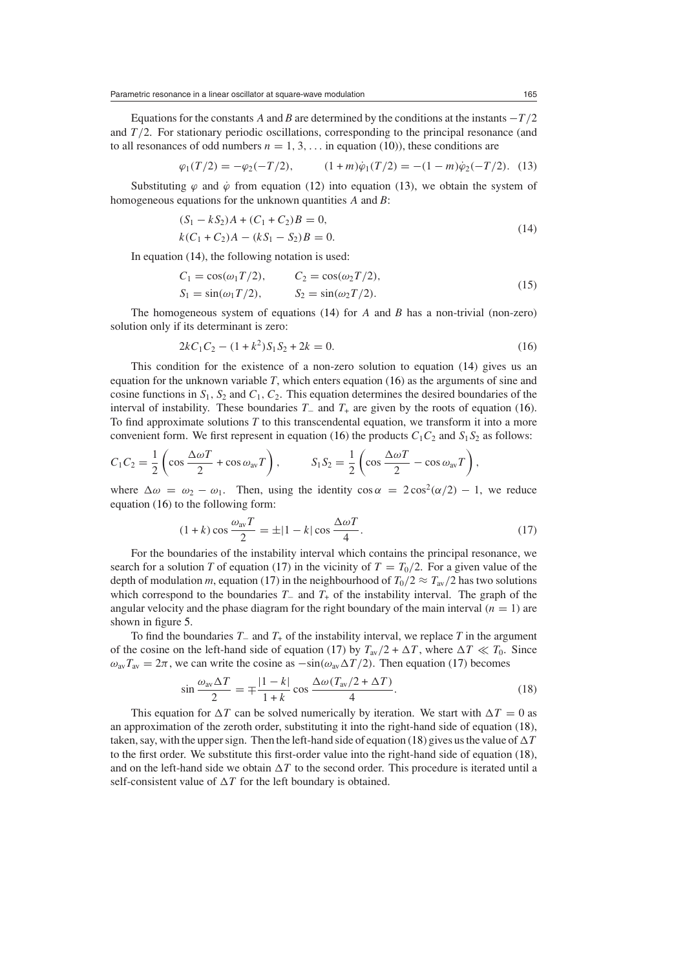Parametric resonance in a linear oscillator at square-wave modulation 165

<span id="page-8-0"></span>Equations for the constants *A* and *B* are determined by the conditions at the instants −*T /*2 and  $T/2$ . For stationary periodic oscillations, corresponding to the principal resonance (and to all resonances of odd numbers  $n = 1, 3, \ldots$  in equation [\(10\)](#page-6-1)), these conditions are

$$
\varphi_1(T/2) = -\varphi_2(-T/2), \qquad (1+m)\dot{\varphi}_1(T/2) = -(1-m)\dot{\varphi}_2(-T/2). \tag{13}
$$

<span id="page-8-1"></span>Substituting  $\varphi$  and  $\dot{\varphi}$  from equation [\(12\)](#page-7-1) into equation [\(13\)](#page-8-0), we obtain the system of homogeneous equations for the unknown quantities *A* and *B*:

$$
(S1 - kS2)A + (C1 + C2)B = 0,k(C1 + C2)A - (kS1 - S2)B = 0.
$$
\n(14)

In equation [\(14\)](#page-8-1), the following notation is used:

$$
C_1 = \cos(\omega_1 T/2), \qquad C_2 = \cos(\omega_2 T/2), S_1 = \sin(\omega_1 T/2), \qquad S_2 = \sin(\omega_2 T/2).
$$
 (15)

<span id="page-8-5"></span><span id="page-8-2"></span>The homogeneous system of equations [\(14\)](#page-8-1) for *A* and *B* has a non-trivial (non-zero) solution only if its determinant is zero:

$$
2kC_1C_2 - (1 + k^2)S_1S_2 + 2k = 0.
$$
\n(16)

This condition for the existence of a non-zero solution to equation [\(14\)](#page-8-1) gives us an equation for the unknown variable *T*, which enters equation [\(16\)](#page-8-2) as the arguments of sine and cosine functions in *S*1*, S*<sup>2</sup> and *C*1*, C*2. This equation determines the desired boundaries of the interval of instability. These boundaries *T*<sup>−</sup> and *T*<sup>+</sup> are given by the roots of equation [\(16\)](#page-8-2). To find approximate solutions *T* to this transcendental equation, we transform it into a more convenient form. We first represent in equation [\(16\)](#page-8-2) the products  $C_1C_2$  and  $S_1S_2$  as follows:

$$
C_1 C_2 = \frac{1}{2} \left( \cos \frac{\Delta \omega T}{2} + \cos \omega_{\text{av}} T \right), \qquad S_1 S_2 = \frac{1}{2} \left( \cos \frac{\Delta \omega T}{2} - \cos \omega_{\text{av}} T \right),
$$

<span id="page-8-3"></span>where  $\Delta \omega = \omega_2 - \omega_1$ . Then, using the identity  $\cos \alpha = 2 \cos^2(\alpha/2) - 1$ , we reduce equation [\(16\)](#page-8-2) to the following form:

$$
(1+k)\cos\frac{\omega_{\text{av}}T}{2} = \pm|1-k|\cos\frac{\Delta\omega T}{4}.\tag{17}
$$

For the boundaries of the instability interval which contains the principal resonance, we search for a solution *T* of equation [\(17\)](#page-8-3) in the vicinity of  $T = T_0/2$ . For a given value of the depth of modulation *m*, equation [\(17\)](#page-8-3) in the neighbourhood of  $T_0/2 \approx T_{av}/2$  has two solutions which correspond to the boundaries *T*<sub>−</sub> and *T*<sub>+</sub> of the instability interval. The graph of the angular velocity and the phase diagram for the right boundary of the main interval  $(n = 1)$  are shown in figure [5.](#page-9-0)

To find the boundaries *T*<sup>−</sup> and *T*<sup>+</sup> of the instability interval, we replace *T* in the argument of the cosine on the left-hand side of equation [\(17\)](#page-8-3) by  $T_{av}/2 + \Delta T$ , where  $\Delta T \ll T_0$ . Since  $\omega_{\text{av}}T_{\text{av}} = 2\pi$ , we can write the cosine as  $-\sin(\omega_{\text{av}}\Delta T/2)$ . Then equation [\(17\)](#page-8-3) becomes

$$
\sin\frac{\omega_{\rm av}\Delta T}{2} = \mp \frac{|1-k|}{1+k} \cos\frac{\Delta\omega (T_{\rm av}/2 + \Delta T)}{4}.
$$
\n(18)

<span id="page-8-4"></span>This equation for  $\Delta T$  can be solved numerically by iteration. We start with  $\Delta T = 0$  as an approximation of the zeroth order, substituting it into the right-hand side of equation [\(18\)](#page-8-4), taken, say, with the upper sign. Then the left-hand side of equation [\(18\)](#page-8-4) gives us the value of  $\Delta T$ to the first order. We substitute this first-order value into the right-hand side of equation [\(18\)](#page-8-4), and on the left-hand side we obtain  $\Delta T$  to the second order. This procedure is iterated until a self-consistent value of  $\Delta T$  for the left boundary is obtained.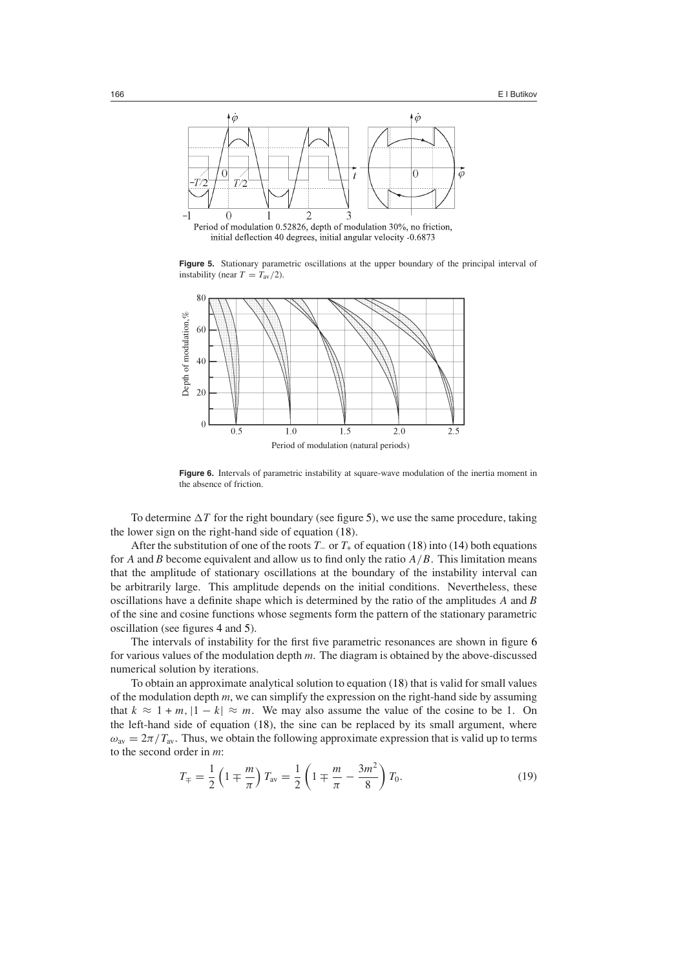

**Figure 5.** Stationary parametric oscillations at the upper boundary of the principal interval of instability (near  $T = T_{av}/2$ ).

<span id="page-9-0"></span>

<span id="page-9-1"></span>Figure 6. Intervals of parametric instability at square-wave modulation of the inertia moment in the absence of friction.

To determine  $\Delta T$  for the right boundary (see figure [5\)](#page-9-0), we use the same procedure, taking the lower sign on the right-hand side of equation [\(18\)](#page-8-4).

After the substitution of one of the roots *T*<sup>−</sup> or *T*<sup>+</sup> of equation [\(18\)](#page-8-4) into [\(14\)](#page-8-1) both equations for *A* and *B* become equivalent and allow us to find only the ratio  $A/B$ . This limitation means that the amplitude of stationary oscillations at the boundary of the instability interval can be arbitrarily large. This amplitude depends on the initial conditions. Nevertheless, these oscillations have a definite shape which is determined by the ratio of the amplitudes *A* and *B* of the sine and cosine functions whose segments form the pattern of the stationary parametric oscillation (see figures [4](#page-7-0) and [5\)](#page-9-0).

The intervals of instability for the first five parametric resonances are shown in figure [6](#page-9-1) for various values of the modulation depth *m*. The diagram is obtained by the above-discussed numerical solution by iterations.

<span id="page-9-2"></span>To obtain an approximate analytical solution to equation [\(18\)](#page-8-4) that is valid for small values of the modulation depth *m*, we can simplify the expression on the right-hand side by assuming that  $k \approx 1 + m$ ,  $|1 - k| \approx m$ . We may also assume the value of the cosine to be 1. On the left-hand side of equation [\(18\)](#page-8-4), the sine can be replaced by its small argument, where  $\omega_{\text{av}} = 2\pi/T_{\text{av}}$ . Thus, we obtain the following approximate expression that is valid up to terms to the second order in *m*:

$$
T_{\mp} = \frac{1}{2} \left( 1 \mp \frac{m}{\pi} \right) T_{\text{av}} = \frac{1}{2} \left( 1 \mp \frac{m}{\pi} - \frac{3m^2}{8} \right) T_0. \tag{19}
$$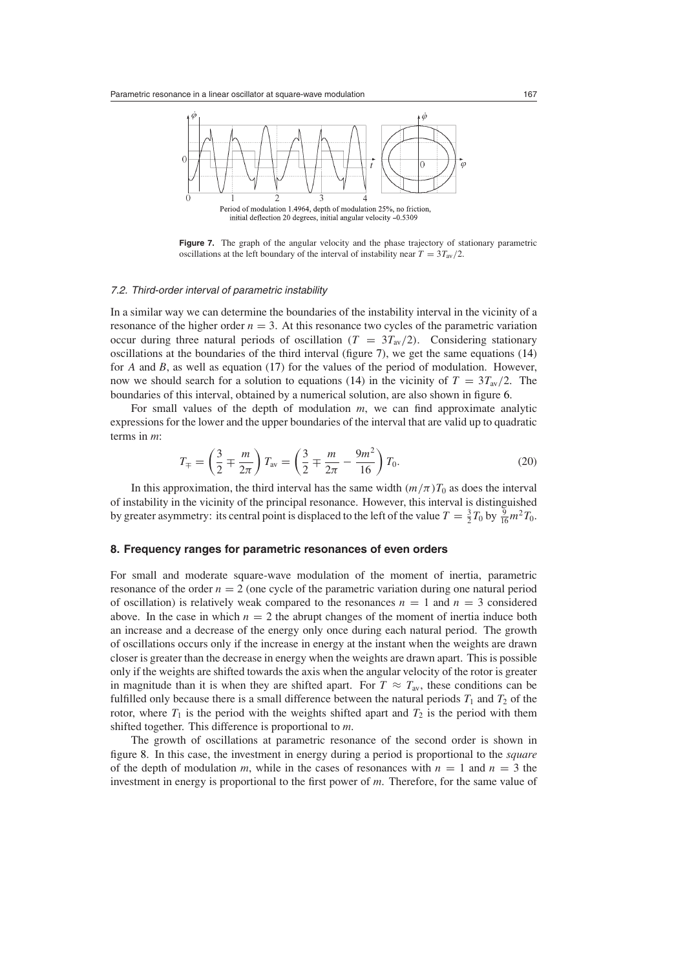

<span id="page-10-0"></span>oscillations at the left boundary of the interval of instability near  $T = 3T_{av}/2$ .

**Figure 7.** The graph of the angular velocity and the phase trajectory of stationary parametric

#### 7.2. Third-order interval of parametric instability

In a similar way we can determine the boundaries of the instability interval in the vicinity of a resonance of the higher order  $n = 3$ . At this resonance two cycles of the parametric variation occur during three natural periods of oscillation  $(T = 3T_{av}/2)$ . Considering stationary oscillations at the boundaries of the third interval (figure [7\)](#page-10-0), we get the same equations [\(14\)](#page-8-1) for *A* and *B*, as well as equation [\(17\)](#page-8-3) for the values of the period of modulation. However, now we should search for a solution to equations [\(14\)](#page-8-1) in the vicinity of  $T = 3T_{av}/2$ . The boundaries of this interval, obtained by a numerical solution, are also shown in figure [6.](#page-9-1)

<span id="page-10-1"></span>For small values of the depth of modulation *m*, we can find approximate analytic expressions for the lower and the upper boundaries of the interval that are valid up to quadratic terms in *m*:

$$
T_{\mp} = \left(\frac{3}{2} \mp \frac{m}{2\pi}\right) T_{\text{av}} = \left(\frac{3}{2} \mp \frac{m}{2\pi} - \frac{9m^2}{16}\right) T_0. \tag{20}
$$

In this approximation, the third interval has the same width  $(m/\pi)T_0$  as does the interval of instability in the vicinity of the principal resonance. However, this interval is distinguished by greater asymmetry: its central point is displaced to the left of the value  $T = \frac{3}{2}T_0$  by  $\frac{9}{16}m^2T_0$ .

# **8. Frequency ranges for parametric resonances of even orders**

For small and moderate square-wave modulation of the moment of inertia, parametric resonance of the order  $n = 2$  (one cycle of the parametric variation during one natural period of oscillation) is relatively weak compared to the resonances  $n = 1$  and  $n = 3$  considered above. In the case in which  $n = 2$  the abrupt changes of the moment of inertia induce both an increase and a decrease of the energy only once during each natural period. The growth of oscillations occurs only if the increase in energy at the instant when the weights are drawn closer is greater than the decrease in energy when the weights are drawn apart. This is possible only if the weights are shifted towards the axis when the angular velocity of the rotor is greater in magnitude than it is when they are shifted apart. For  $T \approx T_{av}$ , these conditions can be fulfilled only because there is a small difference between the natural periods  $T_1$  and  $T_2$  of the rotor, where  $T_1$  is the period with the weights shifted apart and  $T_2$  is the period with them shifted together. This difference is proportional to *m*.

The growth of oscillations at parametric resonance of the second order is shown in figure [8.](#page-11-0) In this case, the investment in energy during a period is proportional to the *square* of the depth of modulation *m*, while in the cases of resonances with  $n = 1$  and  $n = 3$  the investment in energy is proportional to the first power of *m*. Therefore, for the same value of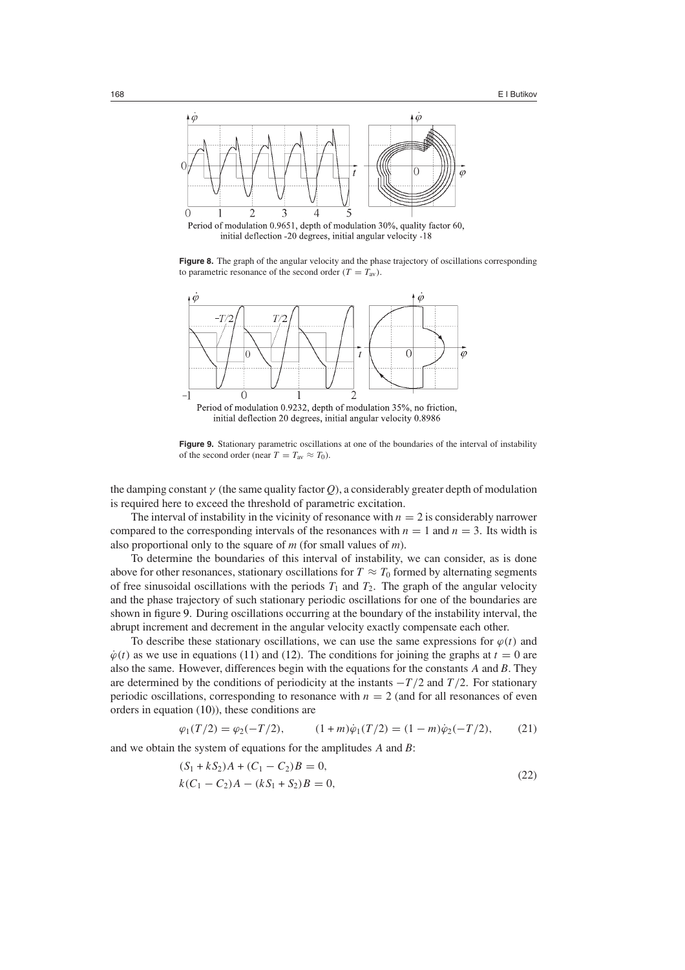

Period of modulation 0.9651, depth of modulation 30%, quality factor 60, initial deflection -20 degrees, initial angular velocity -18

<span id="page-11-0"></span>Figure 8. The graph of the angular velocity and the phase trajectory of oscillations corresponding to parametric resonance of the second order  $(T = T_{av})$ .



Period of modulation 0.9232, depth of modulation 35%, no friction, initial deflection 20 degrees, initial angular velocity 0.8986

**Figure 9.** Stationary parametric oscillations at one of the boundaries of the interval of instability of the second order (near  $T = T_{av} \approx T_0$ ).

<span id="page-11-1"></span>the damping constant  $\gamma$  (the same quality factor *Q*), a considerably greater depth of modulation is required here to exceed the threshold of parametric excitation.

The interval of instability in the vicinity of resonance with  $n = 2$  is considerably narrower compared to the corresponding intervals of the resonances with  $n = 1$  and  $n = 3$ . Its width is also proportional only to the square of *m* (for small values of *m*).

To determine the boundaries of this interval of instability, we can consider, as is done above for other resonances, stationary oscillations for  $T \approx T_0$  formed by alternating segments of free sinusoidal oscillations with the periods  $T_1$  and  $T_2$ . The graph of the angular velocity and the phase trajectory of such stationary periodic oscillations for one of the boundaries are shown in figure [9.](#page-11-1) During oscillations occurring at the boundary of the instability interval, the abrupt increment and decrement in the angular velocity exactly compensate each other.

To describe these stationary oscillations, we can use the same expressions for  $\varphi(t)$  and  $\dot{\varphi}(t)$  as we use in equations [\(11\)](#page-7-2) and [\(12\)](#page-7-1). The conditions for joining the graphs at  $t = 0$  are also the same. However, differences begin with the equations for the constants *A* and *B*. They are determined by the conditions of periodicity at the instants −*T /*2 and *T /*2. For stationary periodic oscillations, corresponding to resonance with  $n = 2$  (and for all resonances of even orders in equation [\(10\)](#page-6-1)), these conditions are

$$
\varphi_1(T/2) = \varphi_2(-T/2), \qquad (1+m)\dot{\varphi}_1(T/2) = (1-m)\dot{\varphi}_2(-T/2), \qquad (21)
$$

<span id="page-11-2"></span>and we obtain the system of equations for the amplitudes *A* and *B*:

$$
(S_1 + kS_2)A + (C_1 - C_2)B = 0,
$$
  
\n
$$
k(C_1 - C_2)A - (kS_1 + S_2)B = 0,
$$
\n(22)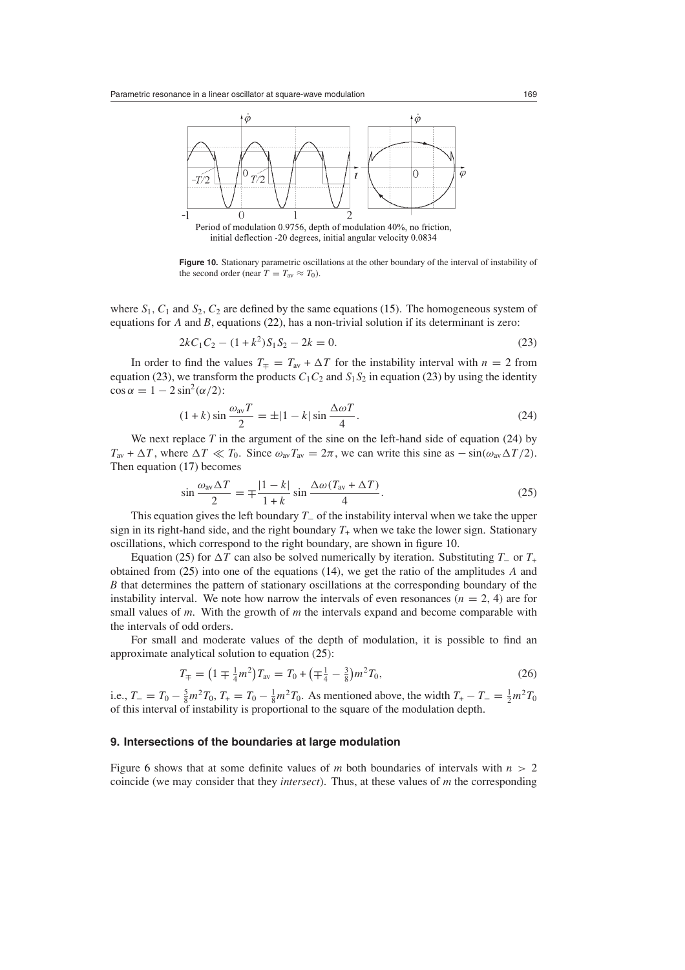

Period of modulation 0.9756, depth of modulation 40%, no friction, initial deflection -20 degrees, initial angular velocity 0.0834

<span id="page-12-2"></span>**Figure 10.** Stationary parametric oscillations at the other boundary of the interval of instability of the second order (near  $T = T_{av} \approx T_0$ ).

<span id="page-12-0"></span>where  $S_1$ ,  $C_1$  and  $S_2$ ,  $C_2$  are defined by the same equations [\(15\)](#page-8-5). The homogeneous system of equations for *A* and *B*, equations [\(22\)](#page-11-2), has a non-trivial solution if its determinant is zero:

$$
2kC_1C_2 - (1 + k^2)S_1S_2 - 2k = 0.
$$
\n(23)

In order to find the values  $T_$ π =  $T_$ <sub>av</sub> +  $\Delta T$  for the instability interval with *n* = 2 from equation [\(23\)](#page-12-0), we transform the products  $C_1C_2$  and  $S_1S_2$  in equation (23) by using the identity  $\cos \alpha = 1 - 2 \sin^2(\alpha/2)$ :

$$
(1+k)\sin\frac{\omega_{\text{av}}T}{2} = \pm |1-k|\sin\frac{\Delta\omega T}{4}.
$$
\n(24)

<span id="page-12-1"></span>We next replace *T* in the argument of the sine on the left-hand side of equation [\(24\)](#page-12-1) by  $T_{av} + \Delta T$ , where  $\Delta T \ll T_0$ . Since  $\omega_{av} T_{av} = 2\pi$ , we can write this sine as  $-\sin(\omega_{av} \Delta T/2)$ . Then equation [\(17\)](#page-8-3) becomes

$$
\sin\frac{\omega_{\rm av}\Delta T}{2} = \mp \frac{|1-k|}{1+k} \sin\frac{\Delta\omega (T_{\rm av} + \Delta T)}{4}.
$$
\n(25)

<span id="page-12-3"></span>This equation gives the left boundary *T*<sup>−</sup> of the instability interval when we take the upper sign in its right-hand side, and the right boundary  $T<sub>+</sub>$  when we take the lower sign. Stationary oscillations, which correspond to the right boundary, are shown in figure [10.](#page-12-2)

Equation [\(25\)](#page-12-3) for  $\Delta T$  can also be solved numerically by iteration. Substituting *T*<sub>−</sub> or *T*<sub>+</sub> obtained from [\(25\)](#page-12-3) into one of the equations [\(14\)](#page-8-1), we get the ratio of the amplitudes *A* and *B* that determines the pattern of stationary oscillations at the corresponding boundary of the instability interval. We note how narrow the intervals of even resonances ( $n = 2, 4$ ) are for small values of *m*. With the growth of *m* the intervals expand and become comparable with the intervals of odd orders.

<span id="page-12-4"></span>For small and moderate values of the depth of modulation, it is possible to find an approximate analytical solution to equation [\(25\)](#page-12-3):

$$
T_{\pm} = \left(1 \mp \frac{1}{4}m^2\right)T_{\text{av}} = T_0 + \left(\mp \frac{1}{4} - \frac{3}{8}\right)m^2 T_0,\tag{26}
$$

i.e.,  $T_ - = T_0 - \frac{5}{8}m^2T_0$ ,  $T_ + = T_0 - \frac{1}{8}m^2T_0$ . As mentioned above, the width  $T_ + - T_- = \frac{1}{2}m^2T_0$ of this interval of instability is proportional to the square of the modulation depth.

## **9. Intersections of the boundaries at large modulation**

Figure [6](#page-9-1) shows that at some definite values of *m* both boundaries of intervals with  $n > 2$ coincide (we may consider that they *intersect*). Thus, at these values of *m* the corresponding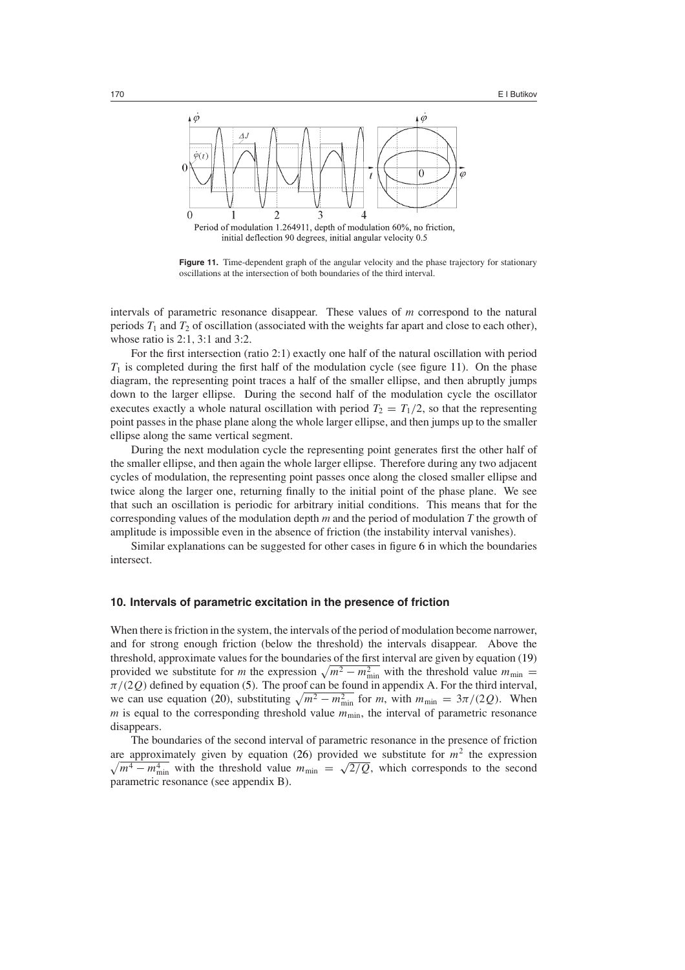

initial deflection 90 degrees, initial angular velocity 0.5

<span id="page-13-0"></span>**Figure 11.** Time-dependent graph of the angular velocity and the phase trajectory for stationary oscillations at the intersection of both boundaries of the third interval.

intervals of parametric resonance disappear. These values of *m* correspond to the natural periods  $T_1$  and  $T_2$  of oscillation (associated with the weights far apart and close to each other), whose ratio is 2:1*,* 3:1 and 3:2.

For the first intersection (ratio 2:1) exactly one half of the natural oscillation with period  $T_1$  is completed during the first half of the modulation cycle (see figure [11\)](#page-13-0). On the phase diagram, the representing point traces a half of the smaller ellipse, and then abruptly jumps down to the larger ellipse. During the second half of the modulation cycle the oscillator executes exactly a whole natural oscillation with period  $T_2 = T_1/2$ , so that the representing point passes in the phase plane along the whole larger ellipse, and then jumps up to the smaller ellipse along the same vertical segment.

During the next modulation cycle the representing point generates first the other half of the smaller ellipse, and then again the whole larger ellipse. Therefore during any two adjacent cycles of modulation, the representing point passes once along the closed smaller ellipse and twice along the larger one, returning finally to the initial point of the phase plane. We see that such an oscillation is periodic for arbitrary initial conditions. This means that for the corresponding values of the modulation depth *m* and the period of modulation *T* the growth of amplitude is impossible even in the absence of friction (the instability interval vanishes).

Similar explanations can be suggested for other cases in figure [6](#page-9-1) in which the boundaries intersect.

# **10. Intervals of parametric excitation in the presence of friction**

When there is friction in the system, the intervals of the period of modulation become narrower, and for strong enough friction (below the threshold) the intervals disappear. Above the threshold, approximate values for the boundaries of the first interval are given by equation [\(19\)](#page-9-2) provided we substitute for *m* the expression  $\sqrt{m^2 - m_{\text{min}}^2}$  with the threshold value  $m_{\text{min}} =$ *π/(*2*Q)* defined by equation [\(5\)](#page-3-3). The proof can be found in appendix A. For the third interval, we can use equation [\(20\)](#page-10-1), substituting  $\sqrt{m^2 - m_{\min}^2}$  for *m*, with  $m_{\min} = 3\pi/(2Q)$ . When  $m$  is equal to the corresponding threshold value  $m_{\text{min}}$ , the interval of parametric resonance disappears.

The boundaries of the second interval of parametric resonance in the presence of friction are approximately given by equation  $(26)$  provided we substitute for  $m<sup>2</sup>$  the expression  $\sqrt{m^4 - m_{\min}^4}$  with the threshold value  $m_{\min} = \sqrt{2/Q}$ , which corresponds to the second parametric resonance (see appendix B).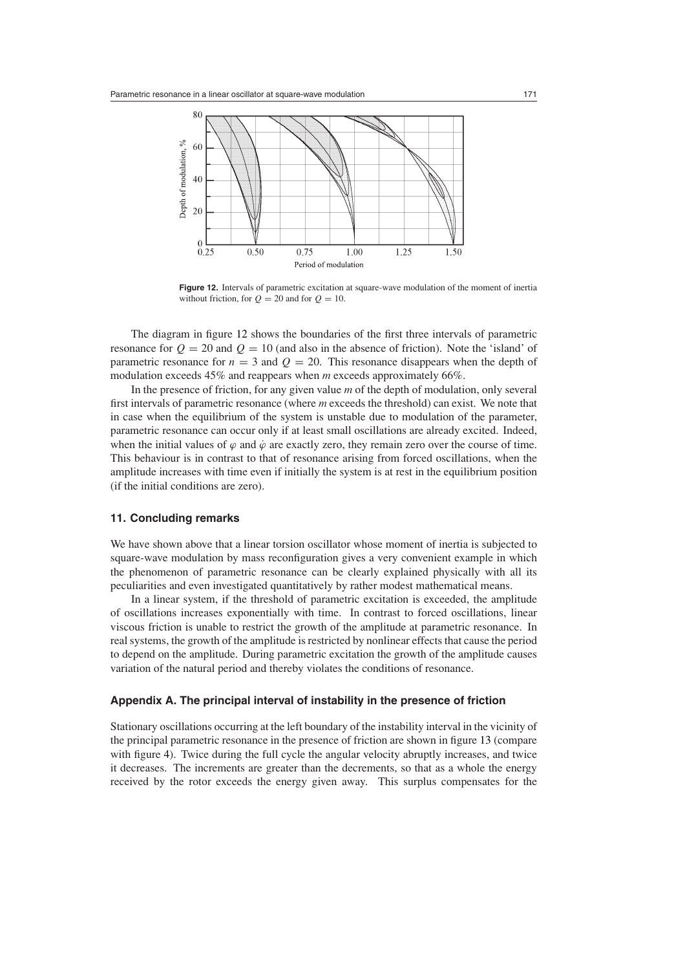

<span id="page-14-0"></span>**Figure 12.** Intervals of parametric excitation at square-wave modulation of the moment of inertia without friction, for  $Q = 20$  and for  $Q = 10$ .

The diagram in figure [12](#page-14-0) shows the boundaries of the first three intervals of parametric resonance for  $Q = 20$  and  $Q = 10$  (and also in the absence of friction). Note the 'island' of parametric resonance for  $n = 3$  and  $Q = 20$ . This resonance disappears when the depth of modulation exceeds 45% and reappears when *m* exceeds approximately 66%.

In the presence of friction, for any given value *m* of the depth of modulation, only several first intervals of parametric resonance (where *m* exceeds the threshold) can exist. We note that in case when the equilibrium of the system is unstable due to modulation of the parameter, parametric resonance can occur only if at least small oscillations are already excited. Indeed, when the initial values of  $\varphi$  and  $\dot{\varphi}$  are exactly zero, they remain zero over the course of time. This behaviour is in contrast to that of resonance arising from forced oscillations, when the amplitude increases with time even if initially the system is at rest in the equilibrium position (if the initial conditions are zero).

# **11. Concluding remarks**

We have shown above that a linear torsion oscillator whose moment of inertia is subjected to square-wave modulation by mass reconfiguration gives a very convenient example in which the phenomenon of parametric resonance can be clearly explained physically with all its peculiarities and even investigated quantitatively by rather modest mathematical means.

In a linear system, if the threshold of parametric excitation is exceeded, the amplitude of oscillations increases exponentially with time. In contrast to forced oscillations, linear viscous friction is unable to restrict the growth of the amplitude at parametric resonance. In real systems, the growth of the amplitude is restricted by nonlinear effects that cause the period to depend on the amplitude. During parametric excitation the growth of the amplitude causes variation of the natural period and thereby violates the conditions of resonance.

# **Appendix A. The principal interval of instability in the presence of friction**

Stationary oscillations occurring at the left boundary of the instability interval in the vicinity of the principal parametric resonance in the presence of friction are shown in figure [13](#page-15-0) (compare with figure [4\)](#page-7-0). Twice during the full cycle the angular velocity abruptly increases, and twice it decreases. The increments are greater than the decrements, so that as a whole the energy received by the rotor exceeds the energy given away. This surplus compensates for the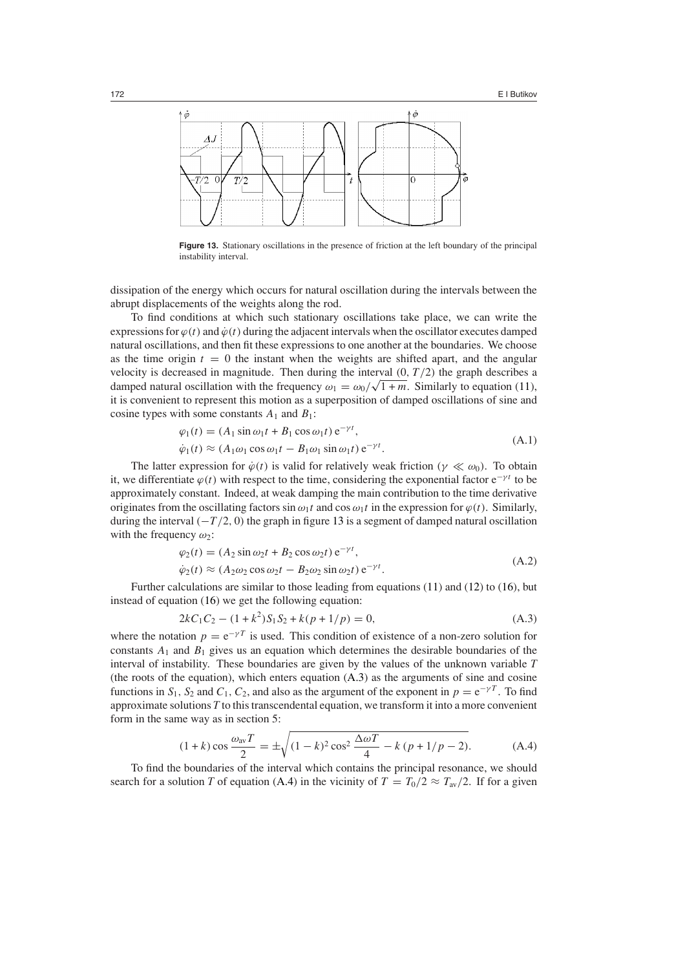

<span id="page-15-0"></span>**Figure 13.** Stationary oscillations in the presence of friction at the left boundary of the principal instability interval.

dissipation of the energy which occurs for natural oscillation during the intervals between the abrupt displacements of the weights along the rod.

To find conditions at which such stationary oscillations take place, we can write the expressions for  $\varphi(t)$  and  $\dot{\varphi}(t)$  during the adjacent intervals when the oscillator executes damped natural oscillations, and then fit these expressions to one another at the boundaries. We choose as the time origin  $t = 0$  the instant when the weights are shifted apart, and the angular velocity is decreased in magnitude. Then during the interval  $(0, T/2)$  the graph describes a damped natural oscillation with the frequency  $\omega_1 = \omega_0 / \sqrt{1 + m}$ . Similarly to equation [\(11\)](#page-7-2), it is convenient to represent this motion as a superposition of damped oscillations of sine and cosine types with some constants  $A_1$  and  $B_1$ :

$$
\varphi_1(t) = (A_1 \sin \omega_1 t + B_1 \cos \omega_1 t) e^{-\gamma t},
$$
  
\n
$$
\dot{\varphi}_1(t) \approx (A_1 \omega_1 \cos \omega_1 t - B_1 \omega_1 \sin \omega_1 t) e^{-\gamma t}.
$$
\n(A.1)

The latter expression for  $\dot{\varphi}(t)$  is valid for relatively weak friction  $(\gamma \ll \omega_0)$ . To obtain it, we differentiate  $\varphi(t)$  with respect to the time, considering the exponential factor  $e^{-\gamma t}$  to be approximately constant. Indeed, at weak damping the main contribution to the time derivative originates from the oscillating factors  $\sin \omega_1 t$  and  $\cos \omega_1 t$  in the expression for  $\varphi(t)$ . Similarly, during the interval  $(-T/2, 0)$  the graph in figure [13](#page-15-0) is a segment of damped natural oscillation with the frequency *ω*2:

$$
\varphi_2(t) = (A_2 \sin \omega_2 t + B_2 \cos \omega_2 t) e^{-\gamma t},
$$
\n(A.2)

$$
\dot{\varphi}_2(t) \approx (A_2 \omega_2 \cos \omega_2 t - B_2 \omega_2 \sin \omega_2 t) e^{-\gamma t}.
$$
\n(A.2)

<span id="page-15-1"></span>Further calculations are similar to those leading from equations [\(11\)](#page-7-2) and [\(12\)](#page-7-1) to [\(16\)](#page-8-2), but instead of equation [\(16\)](#page-8-2) we get the following equation:

$$
2kC_1C_2 - (1 + k^2)S_1S_2 + k(p + 1/p) = 0,
$$
\n(A.3)

where the notation  $p = e^{-\gamma T}$  is used. This condition of existence of a non-zero solution for constants  $A_1$  and  $B_1$  gives us an equation which determines the desirable boundaries of the interval of instability. These boundaries are given by the values of the unknown variable *T* (the roots of the equation), which enters equation [\(A.3\)](#page-15-1) as the arguments of sine and cosine functions in  $S_1$ ,  $S_2$  and  $C_1$ ,  $C_2$ , and also as the argument of the exponent in  $p = e^{-\gamma T}$ . To find approximate solutions *T* to this transcendental equation, we transform it into a more convenient form in the same way as in section 5:

$$
(1+k)\cos\frac{\omega_{\text{av}}T}{2} = \pm\sqrt{(1-k)^2\cos^2\frac{\Delta\omega T}{4} - k(p+1/p-2)}.
$$
 (A.4)

<span id="page-15-2"></span>To find the boundaries of the interval which contains the principal resonance, we should search for a solution *T* of equation [\(A.4\)](#page-15-2) in the vicinity of  $T = T_0/2 \approx T_{av}/2$ . If for a given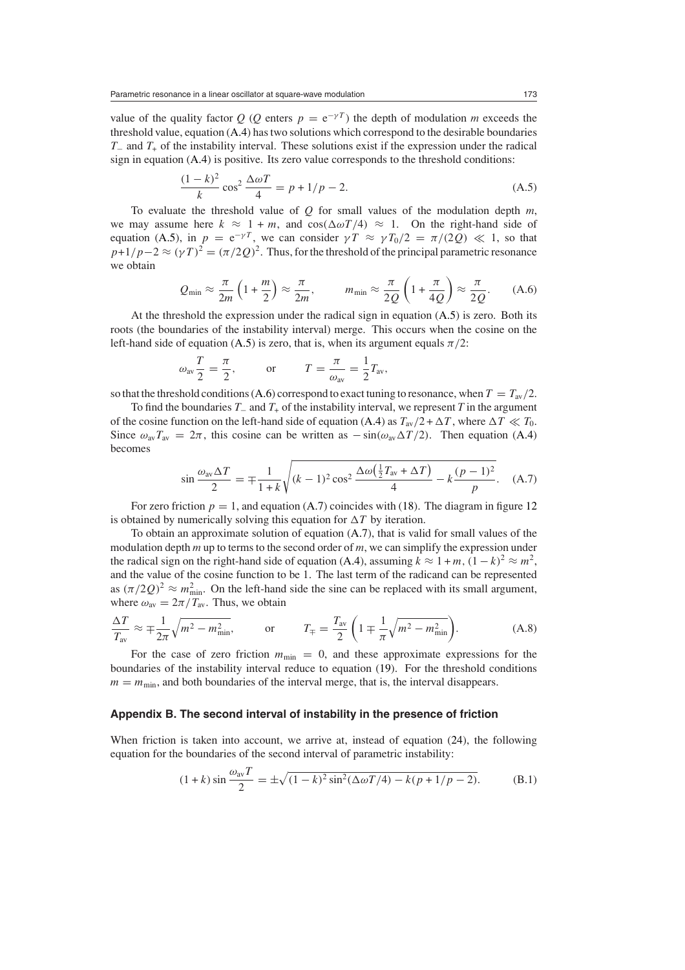value of the quality factor *Q* (*Q* enters  $p = e^{-\gamma T}$ ) the depth of modulation *m* exceeds the threshold value, equation [\(A.4\)](#page-15-2) has two solutions which correspond to the desirable boundaries *T*− and *T*<sub>+</sub> of the instability interval. These solutions exist if the expression under the radical sign in equation [\(A.4\)](#page-15-2) is positive. Its zero value corresponds to the threshold conditions:

$$
\frac{(1-k)^2}{k}\cos^2\frac{\Delta\omega T}{4} = p + 1/p - 2.
$$
 (A.5)

<span id="page-16-0"></span>To evaluate the threshold value of *Q* for small values of the modulation depth *m*, we may assume here  $k \approx 1 + m$ , and  $\cos(\Delta \omega T/4) \approx 1$ . On the right-hand side of equation [\(A.5\)](#page-16-0), in  $p = e^{-\gamma T}$ , we can consider  $\gamma T \approx \gamma T_0/2 = \pi/(2Q) \ll 1$ , so that  $p+1/p-2 \approx (yT)^2 = (\pi/2Q)^2$ . Thus, for the threshold of the principal parametric resonance we obtain

$$
Q_{\min} \approx \frac{\pi}{2m} \left( 1 + \frac{m}{2} \right) \approx \frac{\pi}{2m}, \qquad m_{\min} \approx \frac{\pi}{2Q} \left( 1 + \frac{\pi}{4Q} \right) \approx \frac{\pi}{2Q}.
$$
 (A.6)

<span id="page-16-1"></span>At the threshold the expression under the radical sign in equation [\(A.5\)](#page-16-0) is zero. Both its roots (the boundaries of the instability interval) merge. This occurs when the cosine on the left-hand side of equation [\(A.5\)](#page-16-0) is zero, that is, when its argument equals  $\pi/2$ :

$$
\omega_{\text{av}} \frac{T}{2} = \frac{\pi}{2}
$$
, or  $T = \frac{\pi}{\omega_{\text{av}}} = \frac{1}{2} T_{\text{av}}$ ,

so that the threshold conditions [\(A.6\)](#page-16-1) correspond to exact tuning to resonance, when  $T = T_{av}/2$ .

To find the boundaries *T*<sup>−</sup> and *T*<sup>+</sup> of the instability interval, we represent *T* in the argument of the cosine function on the left-hand side of equation [\(A.4\)](#page-15-2) as  $T_{av}/2 + \Delta T$ , where  $\Delta T \ll T_0$ . Since  $\omega_{av}T_{av} = 2\pi$ , this cosine can be written as  $-\sin(\omega_{av}\Delta T/2)$ . Then equation [\(A.4\)](#page-15-2) becomes

$$
\sin \frac{\omega_{\text{av}} \Delta T}{2} = \mp \frac{1}{1+k} \sqrt{(k-1)^2 \cos^2 \frac{\Delta \omega (\frac{1}{2} T_{\text{av}} + \Delta T)}{4} - k \frac{(p-1)^2}{p}}. \quad (A.7)
$$

<span id="page-16-2"></span>For zero friction  $p = 1$ , and equation [\(A.7\)](#page-16-2) coincides with [\(18\)](#page-8-4). The diagram in figure [12](#page-14-0) is obtained by numerically solving this equation for  $\Delta T$  by iteration.

To obtain an approximate solution of equation [\(A.7\)](#page-16-2), that is valid for small values of the modulation depth *m* up to terms to the second order of *m*, we can simplify the expression under the radical sign on the right-hand side of equation [\(A.4\)](#page-15-2), assuming  $k \approx 1 + m$ ,  $(1 - k)^2 \approx m^2$ , and the value of the cosine function to be 1. The last term of the radicand can be represented as  $(\pi/2Q)^2 \approx m_{\text{min}}^2$ . On the left-hand side the sine can be replaced with its small argument, where  $\omega_{\text{av}} = 2\pi/T_{\text{av}}$ . Thus, we obtain

$$
\frac{\Delta T}{T_{\text{av}}} \approx \mp \frac{1}{2\pi} \sqrt{m^2 - m_{\text{min}}^2}, \qquad \text{or} \qquad T_{\mp} = \frac{T_{\text{av}}}{2} \left( 1 \mp \frac{1}{\pi} \sqrt{m^2 - m_{\text{min}}^2} \right). \tag{A.8}
$$

For the case of zero friction  $m_{\text{min}} = 0$ , and these approximate expressions for the boundaries of the instability interval reduce to equation [\(19\)](#page-9-2). For the threshold conditions  $m = m_{\text{min}}$ , and both boundaries of the interval merge, that is, the interval disappears.

# **Appendix B. The second interval of instability in the presence of friction**

<span id="page-16-3"></span>When friction is taken into account, we arrive at, instead of equation [\(24\)](#page-12-1), the following equation for the boundaries of the second interval of parametric instability:

$$
(1+k)\sin\frac{\omega_{\text{av}}T}{2} = \pm\sqrt{(1-k)^2\sin^2(\Delta\omega T/4) - k(p+1/p-2)}.
$$
 (B.1)